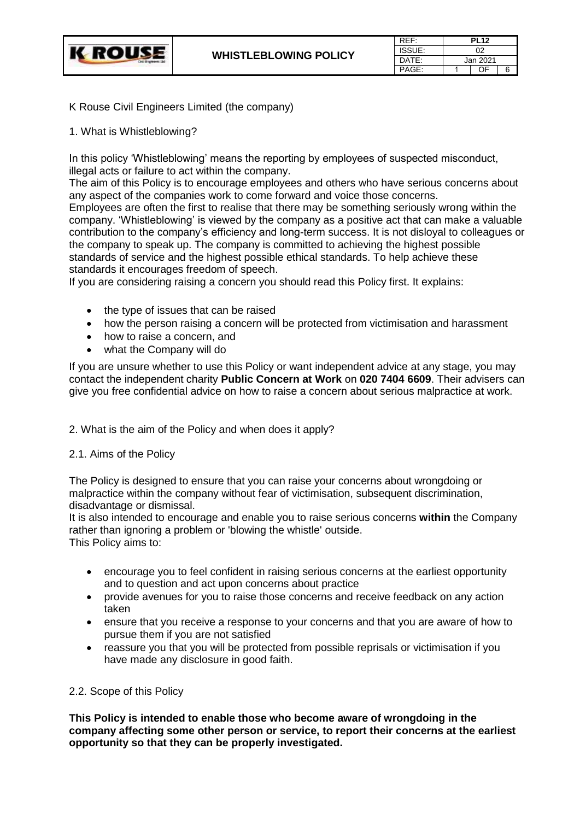

| REF:   | <b>PL12</b> |    |   |
|--------|-------------|----|---|
| ISSUE: | 02          |    |   |
| DATF:  | Jan 2021    |    |   |
| PAGE:  |             | ΩE | ี |

K Rouse Civil Engineers Limited (the company)

1. What is Whistleblowing?

In this policy 'Whistleblowing' means the reporting by employees of suspected misconduct, illegal acts or failure to act within the company.

The aim of this Policy is to encourage employees and others who have serious concerns about any aspect of the companies work to come forward and voice those concerns.

Employees are often the first to realise that there may be something seriously wrong within the company. 'Whistleblowing' is viewed by the company as a positive act that can make a valuable contribution to the company's efficiency and long-term success. It is not disloyal to colleagues or the company to speak up. The company is committed to achieving the highest possible standards of service and the highest possible ethical standards. To help achieve these standards it encourages freedom of speech.

If you are considering raising a concern you should read this Policy first. It explains:

- the type of issues that can be raised
- how the person raising a concern will be protected from victimisation and harassment
- how to raise a concern, and
- what the Company will do

If you are unsure whether to use this Policy or want independent advice at any stage, you may contact the independent charity **Public Concern at Work** on **020 7404 6609**. Their advisers can give you free confidential advice on how to raise a concern about serious malpractice at work.

2. What is the aim of the Policy and when does it apply?

# 2.1. Aims of the Policy

The Policy is designed to ensure that you can raise your concerns about wrongdoing or malpractice within the company without fear of victimisation, subsequent discrimination, disadvantage or dismissal.

It is also intended to encourage and enable you to raise serious concerns **within** the Company rather than ignoring a problem or 'blowing the whistle' outside. This Policy aims to:

- encourage you to feel confident in raising serious concerns at the earliest opportunity and to question and act upon concerns about practice
- provide avenues for you to raise those concerns and receive feedback on any action taken
- ensure that you receive a response to your concerns and that you are aware of how to pursue them if you are not satisfied
- reassure you that you will be protected from possible reprisals or victimisation if you have made any disclosure in good faith.

### 2.2. Scope of this Policy

**This Policy is intended to enable those who become aware of wrongdoing in the company affecting some other person or service, to report their concerns at the earliest opportunity so that they can be properly investigated.**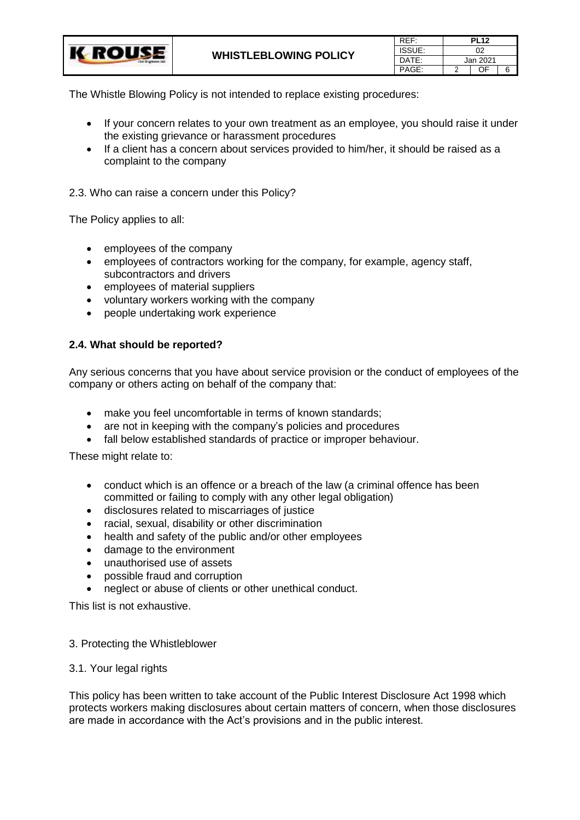| REF:   | <b>PL12</b> |    |   |
|--------|-------------|----|---|
| ISSUE: | 02          |    |   |
| DATE:  | Jan 2021    |    |   |
| PAGE:  |             | ΩE | 6 |

The Whistle Blowing Policy is not intended to replace existing procedures:

- If your concern relates to your own treatment as an employee, you should raise it under the existing grievance or harassment procedures
- If a client has a concern about services provided to him/her, it should be raised as a complaint to the company

2.3. Who can raise a concern under this Policy?

The Policy applies to all:

- employees of the company
- employees of contractors working for the company, for example, agency staff, subcontractors and drivers
- employees of material suppliers
- voluntary workers working with the company
- people undertaking work experience

### **2.4. What should be reported?**

Any serious concerns that you have about service provision or the conduct of employees of the company or others acting on behalf of the company that:

- make you feel uncomfortable in terms of known standards;
- are not in keeping with the company's policies and procedures
- fall below established standards of practice or improper behaviour.

These might relate to:

- conduct which is an offence or a breach of the law (a criminal offence has been committed or failing to comply with any other legal obligation)
- disclosures related to miscarriages of justice
- racial, sexual, disability or other discrimination
- health and safety of the public and/or other employees
- damage to the environment
- unauthorised use of assets
- possible fraud and corruption
- neglect or abuse of clients or other unethical conduct.

This list is not exhaustive.

### 3. Protecting the Whistleblower

### 3.1. Your legal rights

This policy has been written to take account of the Public Interest Disclosure Act 1998 which protects workers making disclosures about certain matters of concern, when those disclosures are made in accordance with the Act's provisions and in the public interest.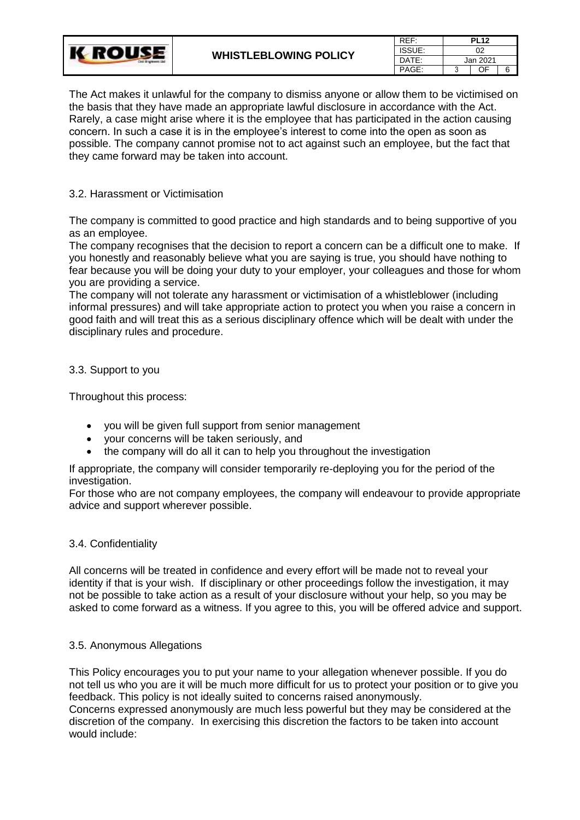| CHIll Brighteens 13d | <b>WHISTLEBLOWING POLICY</b> | REF:   |          | <b>PL12</b> |  |
|----------------------|------------------------------|--------|----------|-------------|--|
|                      |                              | ISSUE: |          | 02          |  |
|                      |                              | DATE:  | Jan 2021 |             |  |
|                      |                              | PAGE:  |          | NΕ          |  |

The Act makes it unlawful for the company to dismiss anyone or allow them to be victimised on the basis that they have made an appropriate lawful disclosure in accordance with the Act. Rarely, a case might arise where it is the employee that has participated in the action causing concern. In such a case it is in the employee's interest to come into the open as soon as possible. The company cannot promise not to act against such an employee, but the fact that they came forward may be taken into account.

# 3.2. Harassment or Victimisation

The company is committed to good practice and high standards and to being supportive of you as an employee.

The company recognises that the decision to report a concern can be a difficult one to make. If you honestly and reasonably believe what you are saying is true, you should have nothing to fear because you will be doing your duty to your employer, your colleagues and those for whom you are providing a service.

The company will not tolerate any harassment or victimisation of a whistleblower (including informal pressures) and will take appropriate action to protect you when you raise a concern in good faith and will treat this as a serious disciplinary offence which will be dealt with under the disciplinary rules and procedure.

# 3.3. Support to you

Throughout this process:

- you will be given full support from senior management
- your concerns will be taken seriously, and
- the company will do all it can to help you throughout the investigation

If appropriate, the company will consider temporarily re-deploying you for the period of the investigation.

For those who are not company employees, the company will endeavour to provide appropriate advice and support wherever possible.

# 3.4. Confidentiality

All concerns will be treated in confidence and every effort will be made not to reveal your identity if that is your wish. If disciplinary or other proceedings follow the investigation, it may not be possible to take action as a result of your disclosure without your help, so you may be asked to come forward as a witness. If you agree to this, you will be offered advice and support.

# 3.5. Anonymous Allegations

This Policy encourages you to put your name to your allegation whenever possible. If you do not tell us who you are it will be much more difficult for us to protect your position or to give you feedback. This policy is not ideally suited to concerns raised anonymously. Concerns expressed anonymously are much less powerful but they may be considered at the discretion of the company. In exercising this discretion the factors to be taken into account would include: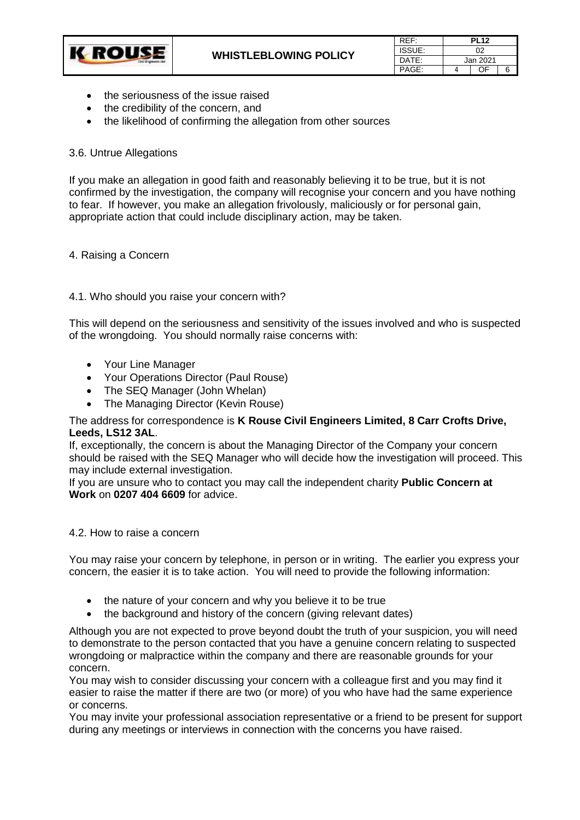

| REF:   | <b>PL12</b> |    |   |
|--------|-------------|----|---|
| ISSUE: | በ2          |    |   |
| DATF:  | Jan 2021    |    |   |
| PAGF:  |             | 0E | հ |

- the seriousness of the issue raised
- the credibility of the concern, and
- the likelihood of confirming the allegation from other sources

### 3.6. Untrue Allegations

If you make an allegation in good faith and reasonably believing it to be true, but it is not confirmed by the investigation, the company will recognise your concern and you have nothing to fear. If however, you make an allegation frivolously, maliciously or for personal gain, appropriate action that could include disciplinary action, may be taken.

### 4. Raising a Concern

### 4.1. Who should you raise your concern with?

This will depend on the seriousness and sensitivity of the issues involved and who is suspected of the wrongdoing. You should normally raise concerns with:

- Your Line Manager
- Your Operations Director (Paul Rouse)
- The SEQ Manager (John Whelan)
- The Managing Director (Kevin Rouse)

### The address for correspondence is **K Rouse Civil Engineers Limited, 8 Carr Crofts Drive, Leeds, LS12 3AL**.

If, exceptionally, the concern is about the Managing Director of the Company your concern should be raised with the SEQ Manager who will decide how the investigation will proceed. This may include external investigation.

If you are unsure who to contact you may call the independent charity **Public Concern at Work** on **0207 404 6609** for advice.

### 4.2. How to raise a concern

You may raise your concern by telephone, in person or in writing. The earlier you express your concern, the easier it is to take action. You will need to provide the following information:

- the nature of your concern and why you believe it to be true
- the background and history of the concern (giving relevant dates)

Although you are not expected to prove beyond doubt the truth of your suspicion, you will need to demonstrate to the person contacted that you have a genuine concern relating to suspected wrongdoing or malpractice within the company and there are reasonable grounds for your concern.

You may wish to consider discussing your concern with a colleague first and you may find it easier to raise the matter if there are two (or more) of you who have had the same experience or concerns.

You may invite your professional association representative or a friend to be present for support during any meetings or interviews in connection with the concerns you have raised.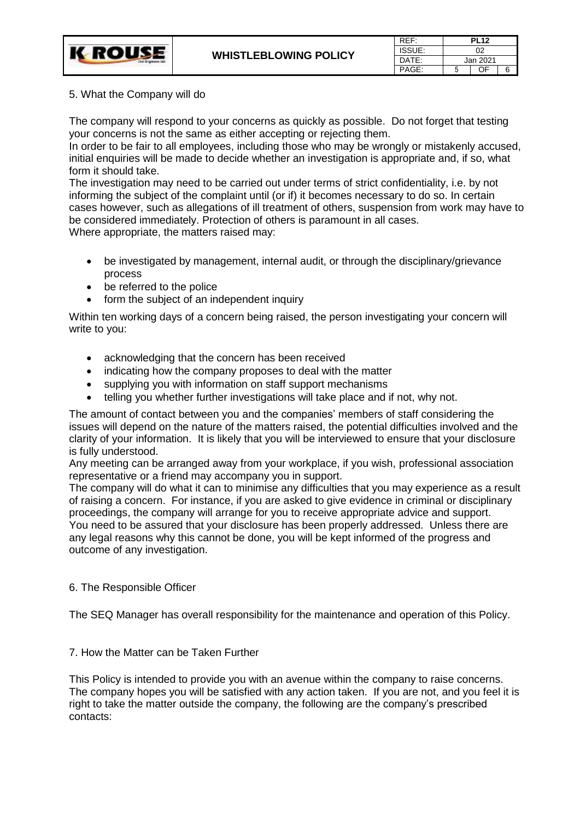| REF:          | <b>PL12</b> |    |   |
|---------------|-------------|----|---|
| <b>ISSUE:</b> | 02          |    |   |
| DATF:         | Jan 2021    |    |   |
| PAGF:         |             | 0E | հ |

# 5. What the Company will do

**K ROUSE** 

The company will respond to your concerns as quickly as possible. Do not forget that testing your concerns is not the same as either accepting or rejecting them.

In order to be fair to all employees, including those who may be wrongly or mistakenly accused, initial enquiries will be made to decide whether an investigation is appropriate and, if so, what form it should take.

The investigation may need to be carried out under terms of strict confidentiality, i.e. by not informing the subject of the complaint until (or if) it becomes necessary to do so. In certain cases however, such as allegations of ill treatment of others, suspension from work may have to be considered immediately. Protection of others is paramount in all cases. Where appropriate, the matters raised may:

- be investigated by management, internal audit, or through the disciplinary/grievance process
- be referred to the police
- form the subject of an independent inquiry

Within ten working days of a concern being raised, the person investigating your concern will write to you:

- acknowledging that the concern has been received
- indicating how the company proposes to deal with the matter
- supplying you with information on staff support mechanisms
- telling you whether further investigations will take place and if not, why not.

The amount of contact between you and the companies' members of staff considering the issues will depend on the nature of the matters raised, the potential difficulties involved and the clarity of your information. It is likely that you will be interviewed to ensure that your disclosure is fully understood.

Any meeting can be arranged away from your workplace, if you wish, professional association representative or a friend may accompany you in support.

The company will do what it can to minimise any difficulties that you may experience as a result of raising a concern. For instance, if you are asked to give evidence in criminal or disciplinary proceedings, the company will arrange for you to receive appropriate advice and support. You need to be assured that your disclosure has been properly addressed. Unless there are any legal reasons why this cannot be done, you will be kept informed of the progress and outcome of any investigation.

# 6. The Responsible Officer

The SEQ Manager has overall responsibility for the maintenance and operation of this Policy.

# 7. How the Matter can be Taken Further

This Policy is intended to provide you with an avenue within the company to raise concerns. The company hopes you will be satisfied with any action taken. If you are not, and you feel it is right to take the matter outside the company, the following are the company's prescribed contacts: